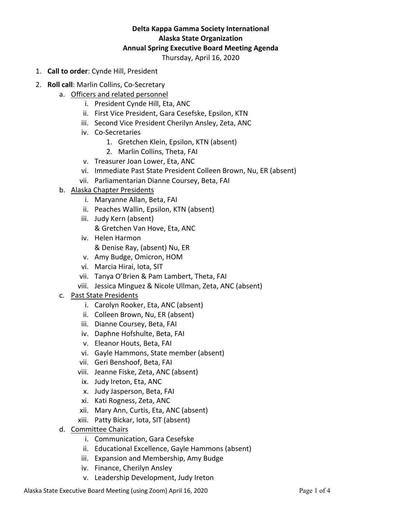# **Delta Kappa Gamma Society International Alaska State Organization Annual Spring Executive Board Meeting Agenda**

Thursday, April 16, 2020

- 1. **Call to order**: Cynde Hill, President
- 2. **Roll call**: Marlin Collins, Co-Secretary
	- a. Officers and related personnel
		- i. President Cynde Hill, Eta, ANC
		- ii. First Vice President, Gara Cesefske, Epsilon, KTN
		- iii. Second Vice President Cherilyn Ansley, Zeta, ANC
		- iv. Co-Secretaries
			- 1. Gretchen Klein, Epsilon, KTN (absent)
			- 2. Marlin Collins, Theta, FAI
		- v. Treasurer Joan Lower, Eta, ANC
		- vi. Immediate Past State President Colleen Brown, Nu, ER (absent)
		- vii. Parliamentarian Dianne Coursey, Beta, FAI
		- b. Alaska Chapter Presidents
			- i. Maryanne Allan, Beta, FAI
			- ii. Peaches Wallin, Epsilon, KTN (absent)
			- iii. Judy Kern (absent) & Gretchen Van Hove, Eta, ANC
			- iv. Helen Harmon & Denise Ray, (absent) Nu, ER
			- v. Amy Budge, Omicron, HOM
			- vi. Marcia Hirai, Iota, SIT
			- vii. Tanya O'Brien & Pam Lambert, Theta, FAI
			- viii. Jessica Minguez & Nicole Ullman, Zeta, ANC (absent)
		- c. Past State Presidents
			- i. Carolyn Rooker, Eta, ANC (absent)
			- ii. Colleen Brown, Nu, ER (absent)
			- iii. Dianne Coursey, Beta, FAI
			- iv. Daphne Hofshulte, Beta, FAI
			- v. Eleanor Houts, Beta, FAI
			- vi. Gayle Hammons, State member (absent)
			- vii. Geri Benshoof, Beta, FAI
			- viii. Jeanne Fiske, Zeta, ANC (absent)
			- ix. Judy Ireton, Eta, ANC
			- x. Judy Jasperson, Beta, FAI
			- xi. Kati Rogness, Zeta, ANC
			- xii. Mary Ann, Curtis, Eta, ANC (absent)
			- xiii. Patty Bickar, Iota, SIT (absent)
		- d. Committee Chairs
			- i. Communication, Gara Cesefske
			- ii. Educational Excellence, Gayle Hammons (absent)
			- iii. Expansion and Membership, Amy Budge
			- iv. Finance, Cherilyn Ansley
			- v. Leadership Development, Judy Ireton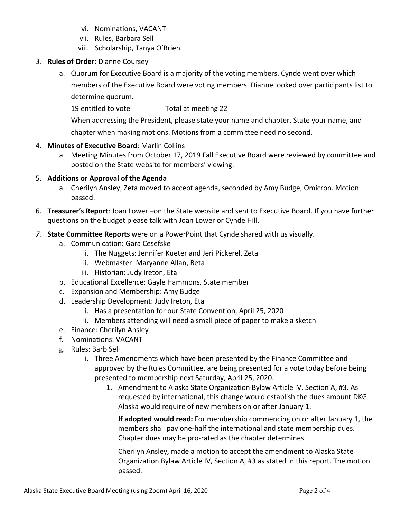- vi. Nominations, VACANT
- vii. Rules, Barbara Sell
- viii. Scholarship, Tanya O'Brien
- *3.* **Rules of Order**: Dianne Coursey
	- a. Quorum for Executive Board is a majority of the voting members. Cynde went over which members of the Executive Board were voting members. Dianne looked over participants list to determine quorum.
		- 19 entitled to vote Total at meeting 22

When addressing the President, please state your name and chapter. State your name, and chapter when making motions. Motions from a committee need no second.

- 4. **Minutes of Executive Board**: Marlin Collins
	- a. Meeting Minutes from October 17, 2019 Fall Executive Board were reviewed by committee and posted on the State website for members' viewing.

## 5. **Additions or Approval of the Agenda**

- a. Cherilyn Ansley, Zeta moved to accept agenda, seconded by Amy Budge, Omicron. Motion passed.
- 6. **Treasurer's Report**: Joan Lower –on the State website and sent to Executive Board. If you have further questions on the budget please talk with Joan Lower or Cynde Hill.
- *7.* **State Committee Reports** were on a PowerPoint that Cynde shared with us visually.
	- a. Communication: Gara Cesefske
		- i. The Nuggets: Jennifer Kueter and Jeri Pickerel, Zeta
		- ii. Webmaster: Maryanne Allan, Beta
		- iii. Historian: Judy Ireton, Eta
	- b. Educational Excellence: Gayle Hammons, State member
	- c. Expansion and Membership: Amy Budge
	- d. Leadership Development: Judy Ireton, Eta
		- i. Has a presentation for our State Convention, April 25, 2020
		- ii. Members attending will need a small piece of paper to make a sketch
	- e. Finance: Cherilyn Ansley
	- f. Nominations: VACANT
	- g. Rules: Barb Sell
		- i. Three Amendments which have been presented by the Finance Committee and approved by the Rules Committee, are being presented for a vote today before being presented to membership next Saturday, April 25, 2020.
			- 1. Amendment to Alaska State Organization Bylaw Article IV, Section A, #3. As requested by international, this change would establish the dues amount DKG Alaska would require of new members on or after January 1.

**If adopted would read:** For membership commencing on or after January 1, the members shall pay one-half the international and state membership dues. Chapter dues may be pro-rated as the chapter determines.

Cherilyn Ansley, made a motion to accept the amendment to Alaska State Organization Bylaw Article IV, Section A, #3 as stated in this report. The motion passed.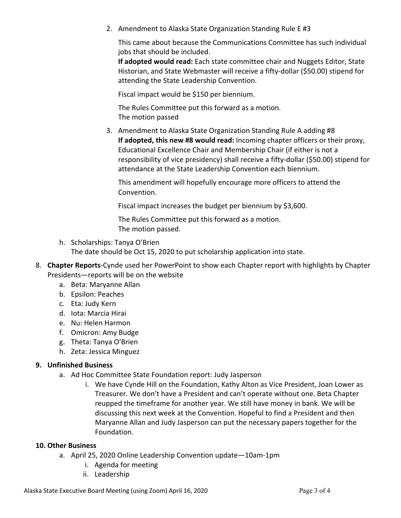2. Amendment to Alaska State Organization Standing Rule E #3

This came about because the Communications Committee has such individual jobs that should be included.

**If adopted would read:** Each state committee chair and Nuggets Editor, State Historian, and State Webmaster will receive a fifty-dollar (\$50.00) stipend for attending the State Leadership Convention.

Fiscal impact would be \$150 per biennium.

The Rules Committee put this forward as a motion. The motion passed

3. Amendment to Alaska State Organization Standing Rule A adding #8 **If adopted, this new #8 would read:** Incoming chapter officers or their proxy, Educational Excellence Chair and Membership Chair (if either is not a responsibility of vice presidency) shall receive a fifty-dollar (\$50.00) stipend for attendance at the State Leadership Convention each biennium.

This amendment will hopefully encourage more officers to attend the Convention.

Fiscal impact increases the budget per biennium by \$3,600.

The Rules Committee put this forward as a motion. The motion passed.

h. Scholarships: Tanya O'Brien

The date should be Oct 15, 2020 to put scholarship application into state.

- 8. **Chapter Reports**-Cynde used her PowerPoint to show each Chapter report with highlights by Chapter Presidents—reports will be on the website
	- a. Beta: Maryanne Allan
	- b. Epsilon: Peaches
	- c. Eta: Judy Kern
	- d. Iota: Marcia Hirai
	- e. Nu: Helen Harmon
	- f. Omicron: Amy Budge
	- g. Theta: Tanya O'Brien
	- h. Zeta: Jessica Minguez

#### **9. Unfinished Business**

- a. Ad Hoc Committee State Foundation report: Judy Jasperson
	- i. We have Cynde Hill on the Foundation, Kathy Alton as Vice President, Joan Lower as Treasurer. We don't have a President and can't operate without one. Beta Chapter reupped the timeframe for another year. We still have money in bank. We will be discussing this next week at the Convention. Hopeful to find a President and then Maryanne Allan and Judy Jasperson can put the necessary papers together for the Foundation.

#### **10. Other Business**

- a. April 25, 2020 Online Leadership Convention update—10am-1pm
	- i. Agenda for meeting
	- ii. Leadership